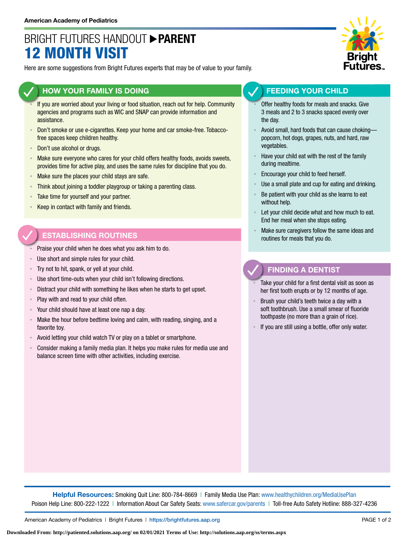# BRIGHT FUTURES HANDOUT **PARENT** 12 MONTH VISIT

Here are some suggestions from Bright Futures experts that may be of value to your family.

### **HOW YOUR FAMILY IS DOING**

- If you are worried about your living or food situation, reach out for help. Community agencies and programs such as WIC and SNAP can provide information and assistance.
- Don't smoke or use e-cigarettes. Keep your home and car smoke-free. Tobaccofree spaces keep children healthy.
- Don't use alcohol or drugs.
- **EXED Make sure everyone who cares for your child offers healthy foods, avoids sweets,** provides time for active play, and uses the same rules for discipline that you do.
- **EXED Make sure the places your child stays are safe.**
- **EXEDENT Think about joining a toddler playgroup or taking a parenting class.**
- **EXEC** Take time for yourself and your partner.
- Keep in contact with family and friends.

## **ESTABLISHING ROUTINES**

- Praise your child when he does what you ask him to do.
- Use short and simple rules for your child.
- Try not to hit, spank, or yell at your child.
- Use short time-outs when your child isn't following directions.
- Distract your child with something he likes when he starts to get upset.
- Play with and read to your child often.
- Your child should have at least one nap a day.
- Make the hour before bedtime loving and calm, with reading, singing, and a favorite toy.
- Avoid letting your child watch TV or play on a tablet or smartphone.
- Consider making a family media plan. It helps you make rules for media use and balance screen time with other activities, including exercise.



### **FEEDING YOUR CHILD**

- Offer healthy foods for meals and snacks. Give 3 meals and 2 to 3 snacks spaced evenly over the day.
- Avoid small, hard foods that can cause chokingpopcorn, hot dogs, grapes, nuts, and hard, raw vegetables.
- Have your child eat with the rest of the family during mealtime.
- Encourage your child to feed herself.
- Use a small plate and cup for eating and drinking.
- Be patient with your child as she learns to eat without help.
- Let your child decide what and how much to eat. End her meal when she stops eating.
- Make sure caregivers follow the same ideas and routines for meals that you do.

### **FINDING A DENTIST**

- Take your child for a first dental visit as soon as her first tooth erupts or by 12 months of age.
- Brush your child's teeth twice a day with a soft toothbrush. Use a small smear of fluoride toothpaste (no more than a grain of rice).
- If you are still using a bottle, offer only water.

**Helpful Resources:** Smoking Quit Line: 800-784-8669 | Family Media Use Plan: [www.healthychildren.org/MediaUsePlan](https://www.healthychildren.org/English/media/Pages/default.aspx)  Poison Help Line: 800-222-1222 | Information About Car Safety Seats: [www.safercar.gov/parents](https://www.nhtsa.gov/parents-and-caregivers) | Toll-free Auto Safety Hotline: 888-327-4236